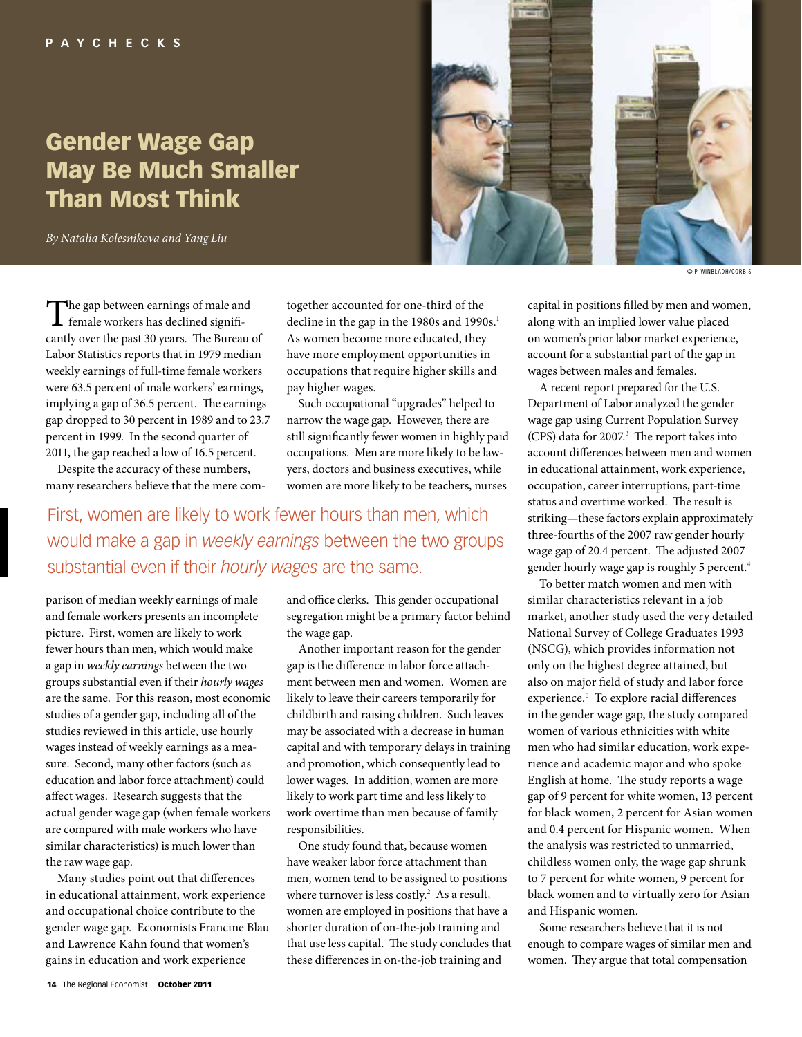# Gender Wage Gap May Be Much Smaller Than Most Think

*By Natalia Kolesnikova and Yang Liu*



© P. Winbladh/Corbis

The gap between earnings of male and<br>female workers has declined significantly over the past 30 years. The Bureau of Labor Statistics reports that in 1979 median weekly earnings of full-time female workers were 63.5 percent of male workers' earnings, implying a gap of 36.5 percent. The earnings gap dropped to 30 percent in 1989 and to 23.7 percent in 1999. In the second quarter of 2011, the gap reached a low of 16.5 percent.

Despite the accuracy of these numbers, many researchers believe that the mere comtogether accounted for one-third of the decline in the gap in the 1980s and 1990s.<sup>1</sup> As women become more educated, they have more employment opportunities in occupations that require higher skills and pay higher wages.

Such occupational "upgrades" helped to narrow the wage gap. However, there are still significantly fewer women in highly paid occupations. Men are more likely to be lawyers, doctors and business executives, while women are more likely to be teachers, nurses

First, women are likely to work fewer hours than men, which would make a gap in *weekly earnings* between the two groups substantial even if their *hourly wages* are the same.

parison of median weekly earnings of male and female workers presents an incomplete picture. First, women are likely to work fewer hours than men, which would make a gap in *weekly earnings* between the two groups substantial even if their *hourly wages*  are the same. For this reason, most economic studies of a gender gap, including all of the studies reviewed in this article, use hourly wages instead of weekly earnings as a measure. Second, many other factors (such as education and labor force attachment) could affect wages. Research suggests that the actual gender wage gap (when female workers are compared with male workers who have similar characteristics) is much lower than the raw wage gap.

Many studies point out that differences in educational attainment, work experience and occupational choice contribute to the gender wage gap. Economists Francine Blau and Lawrence Kahn found that women's gains in education and work experience

and office clerks. This gender occupational segregation might be a primary factor behind the wage gap.

Another important reason for the gender gap is the difference in labor force attachment between men and women. Women are likely to leave their careers temporarily for childbirth and raising children. Such leaves may be associated with a decrease in human capital and with temporary delays in training and promotion, which consequently lead to lower wages. In addition, women are more likely to work part time and less likely to work overtime than men because of family responsibilities.

One study found that, because women have weaker labor force attachment than men, women tend to be assigned to positions where turnover is less costly. $2$  As a result, women are employed in positions that have a shorter duration of on-the-job training and that use less capital. The study concludes that these differences in on-the-job training and

capital in positions filled by men and women, along with an implied lower value placed on women's prior labor market experience, account for a substantial part of the gap in wages between males and females.

A recent report prepared for the U.S. Department of Labor analyzed the gender wage gap using Current Population Survey (CPS) data for 2007.<sup>3</sup> The report takes into account differences between men and women in educational attainment, work experience, occupation, career interruptions, part-time status and overtime worked. The result is striking—these factors explain approximately three-fourths of the 2007 raw gender hourly wage gap of 20.4 percent. The adjusted 2007 gender hourly wage gap is roughly 5 percent.<sup>4</sup>

To better match women and men with similar characteristics relevant in a job market, another study used the very detailed National Survey of College Graduates 1993 (NSCG), which provides information not only on the highest degree attained, but also on major field of study and labor force experience.<sup>5</sup> To explore racial differences in the gender wage gap, the study compared women of various ethnicities with white men who had similar education, work experience and academic major and who spoke English at home. The study reports a wage gap of 9 percent for white women, 13 percent for black women, 2 percent for Asian women and 0.4 percent for Hispanic women. When the analysis was restricted to unmarried, childless women only, the wage gap shrunk to 7 percent for white women, 9 percent for black women and to virtually zero for Asian and Hispanic women.

Some researchers believe that it is not enough to compare wages of similar men and women. They argue that total compensation